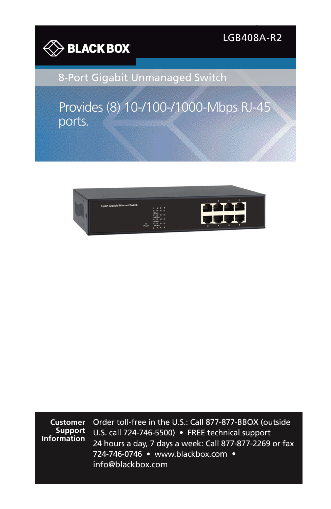

LGB408A-R2

8-Port Gigabit Unmanaged Switch

Provides (8) 10-/100-/1000-Mbps RJ-45 ports.



**Customer Support Information** Order toll-free in the U.S.: Call 877-877-BBOX (outside U.S. call 724-746-5500) • FREE technical support 24 hours a day, 7 days a week: Call 877-877-2269 or fax 724-746-0746 • www.blackbox.com • info@blackbox.com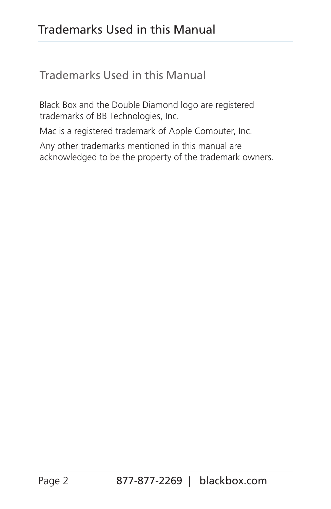# Trademarks Used in this Manual

Trademarks Used in this Manual

Black Box and the Double Diamond logo are registered trademarks of BB Technologies, Inc.

Mac is a registered trademark of Apple Computer, Inc.

Any other trademarks mentioned in this manual are acknowledged to be the property of the trademark owners.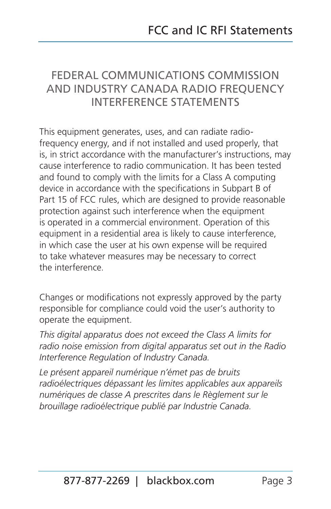## FEDERAL COMMUNICATIONS COMMISSION AND INDUSTRY CANADA RADIO FREQUENCY INTERFERENCE STATEMENTS

This equipment generates, uses, and can radiate radiofrequency energy, and if not installed and used properly, that is, in strict accordance with the manufacturer's instructions, may cause interference to radio communication. It has been tested and found to comply with the limits for a Class A computing device in accordance with the specifications in Subpart B of Part 15 of FCC rules, which are designed to provide reasonable protection against such interference when the equipment is operated in a commercial environment. Operation of this equipment in a residential area is likely to cause interference, in which case the user at his own expense will be required to take whatever measures may be necessary to correct the interference.

Changes or modifications not expressly approved by the party responsible for compliance could void the user's authority to operate the equipment.

*This digital apparatus does not exceed the Class A limits for radio noise emission from digital apparatus set out in the Radio Interference Regulation of Industry Canada.*

*Le présent appareil numérique n'émet pas de bruits radioélectriques dépassant les limites applicables aux appareils numériques de classe A prescrites dans le Règlement sur le brouillage radioélectrique publié par Industrie Canada.*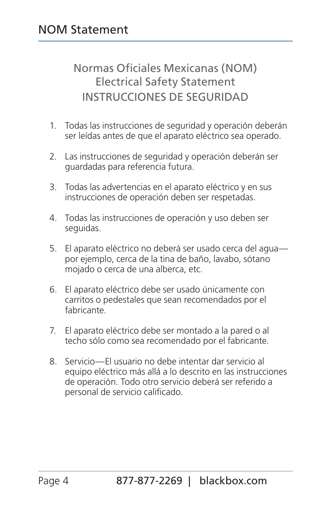Normas Oficiales Mexicanas (NOM) Electrical Safety Statement INSTRUCCIONES DE SEGURIDAD

- 1. Todas las instrucciones de seguridad y operación deberán ser leídas antes de que el aparato eléctrico sea operado.
- 2. Las instrucciones de seguridad y operación deberán ser guardadas para referencia futura.
- 3. Todas las advertencias en el aparato eléctrico y en sus instrucciones de operación deben ser respetadas.
- 4. Todas las instrucciones de operación y uso deben ser seguidas.
- 5. El aparato eléctrico no deberá ser usado cerca del agua por ejemplo, cerca de la tina de baño, lavabo, sótano mojado o cerca de una alberca, etc.
- 6. El aparato eléctrico debe ser usado únicamente con carritos o pedestales que sean recomendados por el fabricante.
- 7. El aparato eléctrico debe ser montado a la pared o al techo sólo como sea recomendado por el fabricante.
- 8. Servicio—El usuario no debe intentar dar servicio al equipo eléctrico más allá a lo descrito en las instrucciones de operación. Todo otro servicio deberá ser referido a personal de servicio calificado.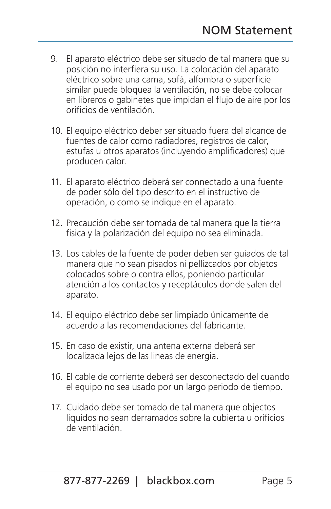- 9. El aparato eléctrico debe ser situado de tal manera que su posición no interfiera su uso. La colocación del aparato eléctrico sobre una cama, sofá, alfombra o superficie similar puede bloquea la ventilación, no se debe colocar en libreros o gabinetes que impidan el flujo de aire por los orificios de ventilación.
- 10. El equipo eléctrico deber ser situado fuera del alcance de fuentes de calor como radiadores, registros de calor, estufas u otros aparatos (incluyendo amplificadores) que producen calor.
- 11. El aparato eléctrico deberá ser connectado a una fuente de poder sólo del tipo descrito en el instructivo de operación, o como se indique en el aparato.
- 12. Precaución debe ser tomada de tal manera que la tierra fisica y la polarización del equipo no sea eliminada.
- 13. Los cables de la fuente de poder deben ser guiados de tal manera que no sean pisados ni pellizcados por objetos colocados sobre o contra ellos, poniendo particular atención a los contactos y receptáculos donde salen del aparato.
- 14. El equipo eléctrico debe ser limpiado únicamente de acuerdo a las recomendaciones del fabricante.
- 15. En caso de existir, una antena externa deberá ser localizada lejos de las lineas de energia.
- 16. El cable de corriente deberá ser desconectado del cuando el equipo no sea usado por un largo periodo de tiempo.
- 17. Cuidado debe ser tomado de tal manera que objectos liquidos no sean derramados sobre la cubierta u orificios de ventilación.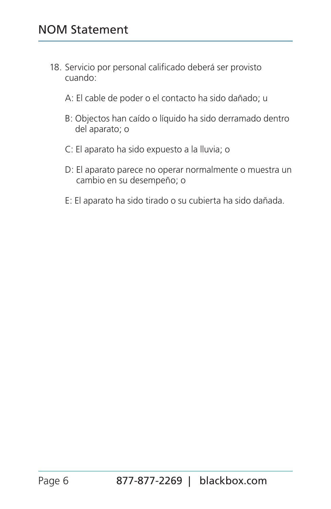- 18. Servicio por personal calificado deberá ser provisto cuando:
	- A: El cable de poder o el contacto ha sido dañado; u
	- B: Objectos han caído o líquido ha sido derramado dentro del aparato; o
	- C: El aparato ha sido expuesto a la lluvia; o
	- D: El aparato parece no operar normalmente o muestra un cambio en su desempeño; o
	- E: El aparato ha sido tirado o su cubierta ha sido dañada.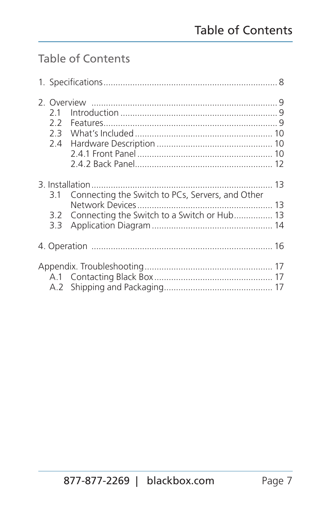# Table of Contents

| 21<br>22<br>23<br>2.4 |                                                                                                 |  |
|-----------------------|-------------------------------------------------------------------------------------------------|--|
| 3.1<br>3.2<br>3.3     | Connecting the Switch to PCs, Servers, and Other<br>Connecting the Switch to a Switch or Hub 13 |  |
|                       |                                                                                                 |  |
|                       |                                                                                                 |  |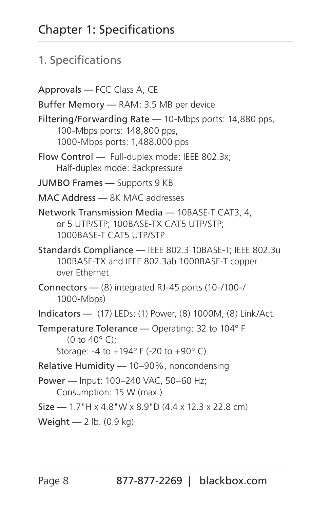#### 1. Specifications

Approvals — FCC Class A, CE Buffer Memory — RAM: 3.5 MB per device Filtering/Forwarding Rate — 10-Mbps ports: 14,880 pps, 100-Mbps ports: 148,800 pps, 1000-Mbps ports: 1,488,000 pps Flow Control — Full-duplex mode: IEEE 802.3x; Half-duplex mode: Backpressure JUMBO Frames — Supports 9 KB MAC Address — 8K MAC addresses Network Transmission Media — 10BASE-T CAT3, 4, or 5 UTP/STP; 100BASE-TX CAT5 UTP/STP; 1000BASE-T CAT5 UTP/STP Standards Compliance — IEEE 802.3 10BASE-T; IEEE 802.3u 100BASE-TX and IEEE 802.3ab 1000BASE-T copper over Ethernet Connectors — (8) integrated RJ-45 ports (10-/100-/ 1000-Mbps) Indicators — (17) LEDs: (1) Power, (8) 1000M, (8) Link/Act. Temperature Tolerance — Operating: 32 to 104° F (0 to 40° C); Storage: -4 to +194° F (-20 to +90° C) Relative Humidity — 10–90%, noncondensing Power — Input: 100–240 VAC, 50–60 Hz; Consumption: 15 W (max.) Size — 1.7"H x 4.8"W x 8.9"D (4.4 x 12.3 x 22.8 cm) Weight — 2 lb. (0.9 kg)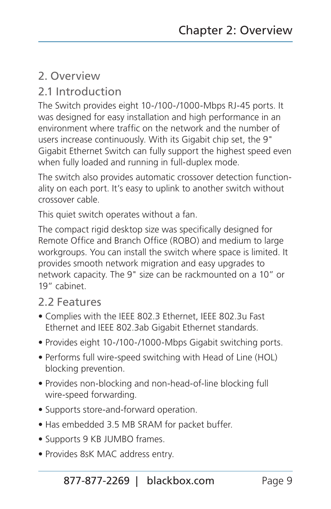## 2. Overview

#### 2.1 Introduction

The Switch provides eight 10-/100-/1000-Mbps RJ-45 ports. It was designed for easy installation and high performance in an environment where traffic on the network and the number of users increase continuously. With its Gigabit chip set, the 9" Gigabit Ethernet Switch can fully support the highest speed even when fully loaded and running in full-duplex mode.

The switch also provides automatic crossover detection functionality on each port. It's easy to uplink to another switch without crossover cable.

This quiet switch operates without a fan.

The compact rigid desktop size was specifically designed for Remote Office and Branch Office (ROBO) and medium to large workgroups. You can install the switch where space is limited. It provides smooth network migration and easy upgrades to network capacity. The 9" size can be rackmounted on a 10" or 19" cabinet.

#### 2.2 Features

- Complies with the IEEE 802.3 Ethernet, IEEE 802.3u Fast Ethernet and IEEE 802.3ab Gigabit Ethernet standards.
- Provides eight 10-/100-/1000-Mbps Gigabit switching ports.
- Performs full wire-speed switching with Head of Line (HOL) blocking prevention.
- Provides non-blocking and non-head-of-line blocking full wire-speed forwarding.
- Supports store-and-forward operation.
- Has embedded 3.5 MB SRAM for packet buffer.
- Supports 9 KB JUMBO frames.
- Provides 8sK MAC address entry.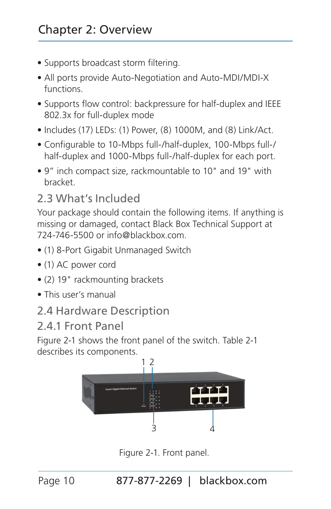- Supports broadcast storm filtering.
- All ports provide Auto-Negotiation and Auto-MDI/MDI-X functions.
- Supports flow control: backpressure for half-duplex and IEEE 802.3x for full-duplex mode
- Includes (17) LEDs: (1) Power, (8) 1000M, and (8) Link/Act.
- Configurable to 10-Mbps full-/half-duplex, 100-Mbps full-/ half-duplex and 1000-Mbps full-/half-duplex for each port.
- 9" inch compact size, rackmountable to 10" and 19" with bracket.

## 2.3 What's Included

Your package should contain the following items. If anything is missing or damaged, contact Black Box Technical Support at 724-746-5500 or info@blackbox.com.

- (1) 8-Port Gigabit Unmanaged Switch
- (1) AC power cord
- (2) 19" rackmounting brackets
- This user's manual
- 2.4 Hardware Description
- 2.4.1 Front Panel

Figure 2-1 shows the front panel of the switch. Table 2-1 describes its components.



Figure 2-1. Front panel.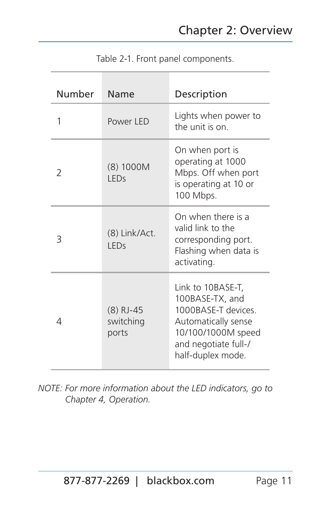| Number | Name                              | Description                                                                                                                                           |  |
|--------|-----------------------------------|-------------------------------------------------------------------------------------------------------------------------------------------------------|--|
| 1      | Power I FD                        | Lights when power to<br>the unit is on.                                                                                                               |  |
| 2      | (8) 1000M<br>I FDs                | On when port is<br>operating at 1000<br>Mbps. Off when port<br>is operating at 10 or<br>100 Mbps.                                                     |  |
| 3      | (8) Link/Act.<br>I FDs            | On when there is a<br>valid link to the<br>corresponding port.<br>Flashing when data is<br>activating.                                                |  |
| 4      | $(8)$ RJ-45<br>switching<br>ports | Link to 10BASE-T,<br>100BASE-TX, and<br>1000BASE-T devices.<br>Automatically sense<br>10/100/1000M speed<br>and negotiate full-/<br>half-duplex mode. |  |

Table 2-1. Front panel components.

*NOTE: For more information about the LED indicators, go to Chapter 4, Operation.*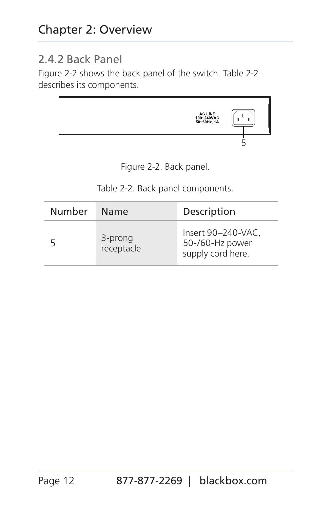#### 2.4.2 Back Panel

Figure 2-2 shows the back panel of the switch. Table 2-2 describes its components.



Figure 2-2. Back panel.

Table 2-2. Back panel components.

| Number | Name                  | Description                                                |  |
|--------|-----------------------|------------------------------------------------------------|--|
| 5      | 3-prong<br>receptacle | Insert 90-240-VAC.<br>50-/60-Hz power<br>supply cord here. |  |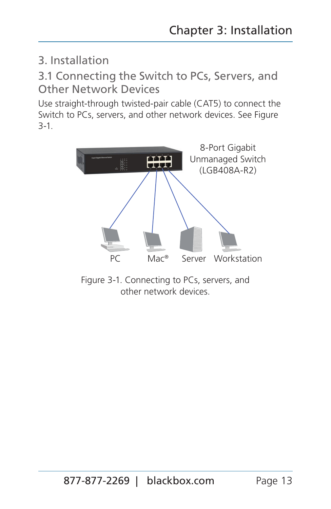### 3. Installation

3.1 Connecting the Switch to PCs, Servers, and Other Network Devices

Use straight-through twisted-pair cable (CAT5) to connect the Switch to PCs, servers, and other network devices. See Figure 3-1.



Figure 3-1. Connecting to PCs, servers, and other network devices.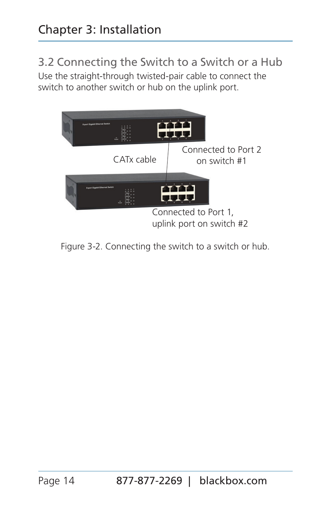# 3.2 Connecting the Switch to a Switch or a Hub

Use the straight-through twisted-pair cable to connect the switch to another switch or hub on the uplink port.



Figure 3-2. Connecting the switch to a switch or hub.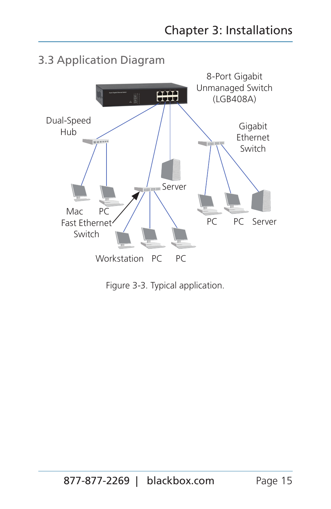

Figure 3-3. Typical application.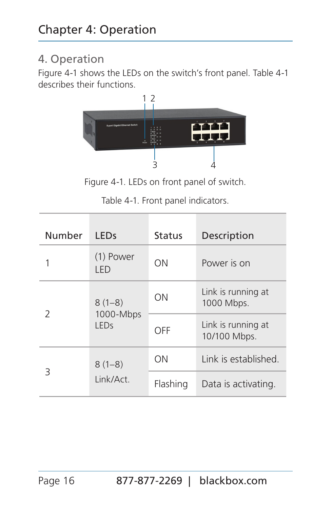## 4. Operation

Figure 4-1 shows the LEDs on the switch's front panel. Table 4-1 describes their functions.



Figure 4-1. LEDs on front panel of switch.

|  |  |  | Table 4-1. Front panel indicators. |
|--|--|--|------------------------------------|
|--|--|--|------------------------------------|

| Number        | I FDs                                | Status   | Description                        |
|---------------|--------------------------------------|----------|------------------------------------|
| 1             | (1) Power<br>I FD                    | ΩN       | Power is on                        |
|               | $8(1-8)$<br>1000-Mbps<br><b>LEDS</b> | ON       | Link is running at<br>1000 Mbps.   |
| $\mathcal{P}$ |                                      | OFF      | Link is running at<br>10/100 Mbps. |
|               | $8(1-8)$<br>Link/Act.                | ΩN       | Link is established.               |
| Β             |                                      | Flashing | Data is activating.                |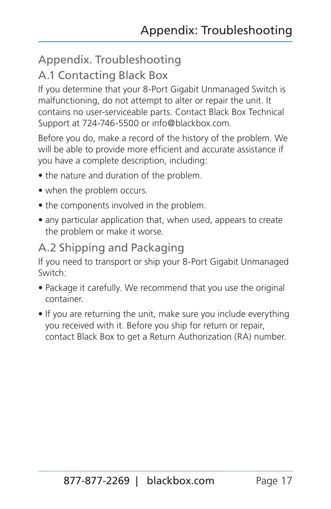## Appendix. Troubleshooting

### A.1 Contacting Black Box

If you determine that your 8-Port Gigabit Unmanaged Switch is malfunctioning, do not attempt to alter or repair the unit. It contains no user-serviceable parts. Contact Black Box Technical Support at 724-746-5500 or info@blackbox.com.

Before you do, make a record of the history of the problem. We will be able to provide more efficient and accurate assistance if you have a complete description, including:

- the nature and duration of the problem.
- when the problem occurs.
- the components involved in the problem.
- any particular application that, when used, appears to create the problem or make it worse.

## A.2 Shipping and Packaging

If you need to transport or ship your 8-Port Gigabit Unmanaged Switch:

- Package it carefully. We recommend that you use the original container.
- If you are returning the unit, make sure you include everything you received with it. Before you ship for return or repair, contact Black Box to get a Return Authorization (RA) number.